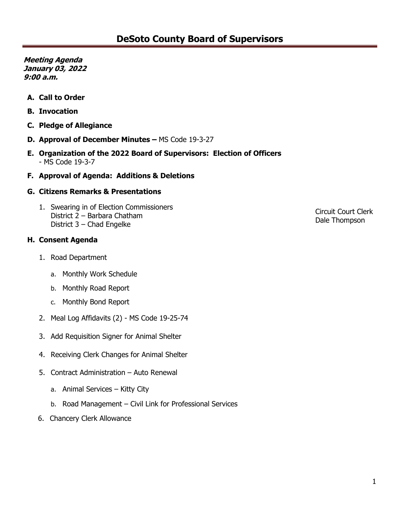**Meeting Agenda January 03, 2022 9:00 a.m.**

- **A. Call to Order**
- **B. Invocation**
- **C. Pledge of Allegiance**
- **D. Approval of December Minutes –** MS Code 19-3-27
- **E. Organization of the 2022 Board of Supervisors: Election of Officers**  - MS Code 19-3-7
- **F. Approval of Agenda: Additions & Deletions**

#### **G. Citizens Remarks & Presentations**

1. Swearing in of Election Commissioners District 2 – Barbara Chatham District 3 – Chad Engelke

#### **H. Consent Agenda**

- 1. Road Department
	- a. Monthly Work Schedule
	- b. Monthly Road Report
	- c. Monthly Bond Report
- 2. Meal Log Affidavits (2) MS Code 19-25-74
- 3. Add Requisition Signer for Animal Shelter
- 4. Receiving Clerk Changes for Animal Shelter
- 5. Contract Administration Auto Renewal
	- a. Animal Services Kitty City
	- b. Road Management Civil Link for Professional Services
- 6. Chancery Clerk Allowance

Circuit Court Clerk Dale Thompson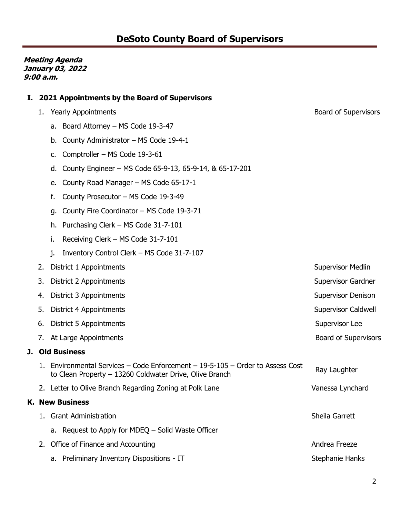**Meeting Agenda January 03, 2022 9:00 a.m.**

### **I. 2021 Appointments by the Board of Supervisors**

- 1. Yearly Appointments and the state of Supervisors Board of Supervisors
	- a. Board Attorney MS Code 19-3-47
	- b. County Administrator MS Code 19-4-1
	- c. Comptroller MS Code 19-3-61
	- d. County Engineer MS Code 65-9-13, 65-9-14, & 65-17-201
	- e. County Road Manager MS Code 65-17-1
	- f. County Prosecutor MS Code 19-3-49
	- g. County Fire Coordinator MS Code 19-3-71
	- h. Purchasing Clerk MS Code 31-7-101
	- i. Receiving Clerk MS Code 31-7-101
	- j. Inventory Control Clerk MS Code 31-7-107
- 2. District 1 Appointments **Supervisor Medlin** Supervisor Medlin 3. District 2 Appointments Supervisor Gardner Supervisor Gardner Supervisor Gardner 4. District 3 Appointments **Supervisor Denison** Supervisor Denison 5. District 4 Appointments **Supervisor Caldwell** Supervisor Caldwell and Supervisor Caldwell 6. District 5 Appointments **Supervisor Lee** Supervisor Lee 7. At Large Appointments **Board of Supervisors** Board of Supervisors **Board of Supervisors J. Old Business** 1. Environmental Services – Code Enforcement – 19-5-105 – Order to Assess Cost Liftund Internal Services – Code Liftuncement – 19-3-103 – Order to Assess Cost Ray Laughter<br>to Clean Property – 13260 Coldwater Drive, Olive Branch 2. Letter to Olive Branch Regarding Zoning at Polk Lane Vanessa Lynchard Vanessa Lynchard **K. New Business** 1. Grant Administration Sheila Garrett a. Request to Apply for MDEQ – Solid Waste Officer 2. Office of Finance and Accounting Andrea Freeze a. Preliminary Inventory Dispositions - IT Stephanie Hanks